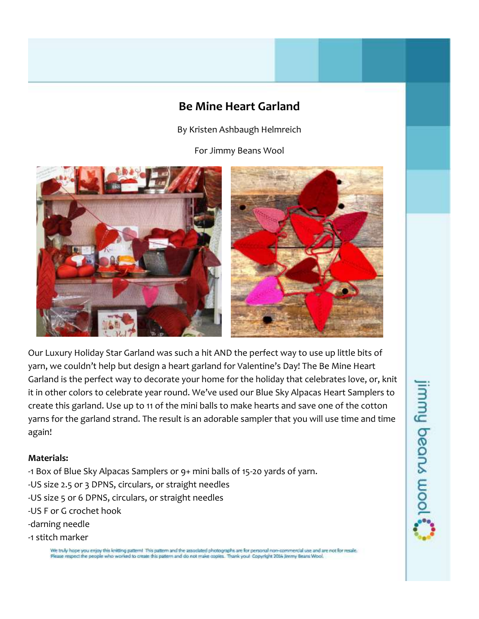## **Be Mine Heart Garland**

By Kristen Ashbaugh Helmreich

For Jimmy Beans Wool





Our Luxury Holiday Star Garland was such a hit AND the perfect way to use up little bits of yarn, we couldn't help but design a heart garland for Valentine's Day! The Be Mine Heart Garland is the perfect way to decorate your home for the holiday that celebrates love, or, knit it in other colors to celebrate year round. We've used our Blue Sky Alpacas Heart Samplers to create this garland. Use up to 11 of the mini balls to make hearts and save one of the cotton yarns for the garland strand. The result is an adorable sampler that you will use time and time again!

### **Materials:**

- -1 Box of Blue Sky Alpacas Samplers or 9+ mini balls of 15-20 yards of yarn.
- -US size 2.5 or 3 DPNS, circulars, or straight needles
- -US size 5 or 6 DPNS, circulars, or straight needles
- -US F or G crochet hook
- -darning needle
- -1 stitch marker

We truly hope you enjoy this knitting pattern! This pattern and the associated photographs are for personal non-commercial use and are not for resale.<br>Please respect the people who worked to create this pattern and do not

## jimmy beans wool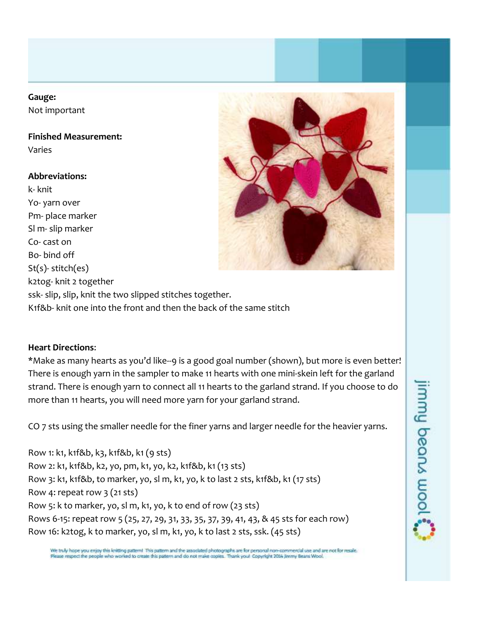### **Gauge:**

Not important

**Finished Measurement:**

Varies

### **Abbreviations:**

k- knit Yo- yarn over Pm- place marker Sl m- slip marker Co- cast on Bo- bind off St(s)- stitch(es) k2tog- knit 2 together ssk- slip, slip, knit the two slipped stitches together. K1f&b- knit one into the front and then the back of the same stitch



### **Heart Directions**:

\*Make as many hearts as you'd like--9 is a good goal number (shown), but more is even better! There is enough yarn in the sampler to make 11 hearts with one mini-skein left for the garland strand. There is enough yarn to connect all 11 hearts to the garland strand. If you choose to do more than 11 hearts, you will need more yarn for your garland strand.

CO 7 sts using the smaller needle for the finer yarns and larger needle for the heavier yarns.

Row 1: k1, k1f&b, k3, k1f&b, k1 (9 sts) Row 2: k1, k1f&b, k2, yo, pm, k1, yo, k2, k1f&b, k1 (13 sts) Row 3: k1, k1f&b, to marker, yo, sl m, k1, yo, k to last 2 sts, k1f&b, k1 (17 sts) Row 4: repeat row  $3$  (21 sts) Row 5: k to marker, yo, sl m, k1, yo, k to end of row (23 sts) Rows 6-15: repeat row 5 (25, 27, 29, 31, 33, 35, 37, 39, 41, 43, & 45 sts for each row) Row 16: k2tog, k to marker, yo, sl m, k1, yo, k to last 2 sts, ssk. (45 sts)

# jimmy beans wool